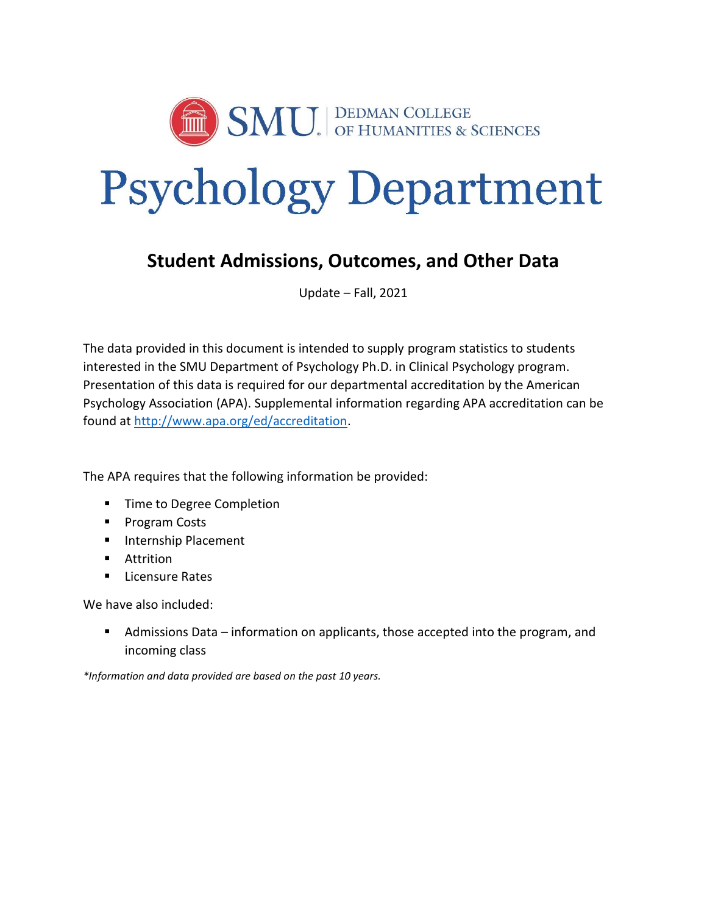

# Psychology Department

## **Student Admissions, Outcomes, and Other Data**

Update – Fall, 2021

The data provided in this document is intended to supply program statistics to students interested in the SMU Department of Psychology Ph.D. in Clinical Psychology program. Presentation of this data is required for our departmental accreditation by the American Psychology Association (APA). Supplemental information regarding APA accreditation can be found at [http://www.apa.org/ed/accreditation.](http://www.apa.org/ed/accreditation)

The APA requires that the following information be provided:

- **Time to Degree Completion**
- **Program Costs**
- **Internship Placement**
- **Attrition**
- $\blacksquare$  Licensure Rates

We have also included:

 Admissions Data – information on applicants, those accepted into the program, and incoming class

*\*Information and data provided are based on the past 10 years.*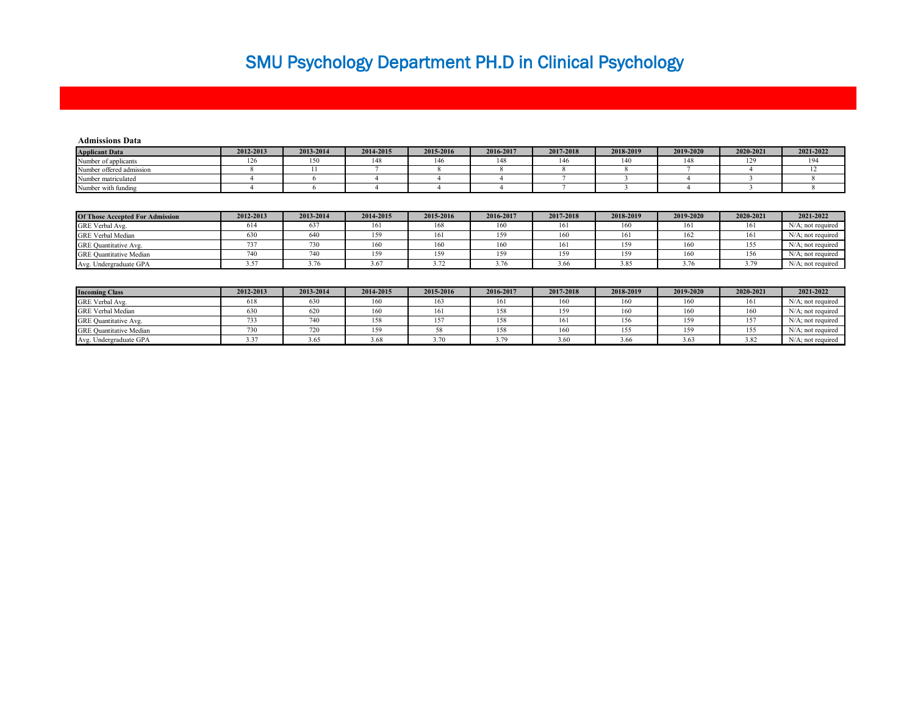## SMU Psychology Department PH.D in Clinical Psychology

| <b>Admissions Data</b>   |           |           |           |           |           |           |           |           |           |           |
|--------------------------|-----------|-----------|-----------|-----------|-----------|-----------|-----------|-----------|-----------|-----------|
| <b>Applicant Data</b>    | 2012-2013 | 2013-2014 | 2014-2015 | 2015-2016 | 2016-2017 | 2017-2018 | 2018-2019 | 2019-2020 | 2020-2021 | 2021-2022 |
| Number of applicants     | 1 Z O     | 150       | 148       | 146       | 148       | 146       | 140       | 148       |           | 194       |
| Number offered admission |           |           |           |           |           |           |           |           |           |           |
| Number matriculated      |           |           |           |           |           |           |           |           |           |           |
| Number with funding      |           |           |           |           |           |           |           |           |           |           |
|                          |           |           |           |           |           |           |           |           |           |           |
|                          |           |           |           |           |           |           |           |           |           |           |

| <b>Of Those Accepted For Admission</b> | 2012-2013 | 2013-2014 | 2014-2015 | 2015-2016 | 2016-2017 | 2017-2018 | 2018-2019 | 2019-2020 | 2020-2021 | 2021-2022            |
|----------------------------------------|-----------|-----------|-----------|-----------|-----------|-----------|-----------|-----------|-----------|----------------------|
| GRE Verbal Avg.                        | 614       | 03 I      | 161       | 168       | 160       | 161       | 160       | 161       | 161       | $N/A$ : not required |
| <b>GRE</b> Verbal Median               | 630       | 640       |           | 161       | 159       | 160       | 161       | 162       | 161       | N/A: not required    |
| GRE Quantitative Avg.                  |           | 730       |           | 160       |           |           | l 59      | 160       | 155       | N/A: not required    |
| <b>GRE Quantitative Median</b>         | 740       | 740       |           |           | 159       | 159       |           |           | 156       | N/A: not required    |
| Avg. Undergraduate GPA                 |           |           |           |           |           | 3.66      | 3.85      | .<br>3.76 |           | N/A: not required    |

| <b>Incoming Class</b>          | 2012-2013 | 2013-2014 | 2014-2015 | 2015-2016 | 2016-2017 | 2017-2018 | 2018-2019 | 2019-2020 | 2020-2021 | 2021-2022            |
|--------------------------------|-----------|-----------|-----------|-----------|-----------|-----------|-----------|-----------|-----------|----------------------|
| GRE Verbal Avg.                | 618       | 630       | 160       | 163       | 161       | 160       | 160       | 160       | 161       | $N/A$ ; not required |
| GRE Verbal Median              | 630       | 620       | 160       | 161       | 158       | 159       | 160       | 160       | 160       | N/A: not required    |
| GRE Quantitative Avg.          |           | 740       | 158       |           | 158       | 161       | 156       | 159       | 157       | N/A: not required    |
| <b>GRE Quantitative Median</b> |           | 720       | 159       |           | 158       | 160       |           | 159       | 155       | N/A; not required    |
| Avg. Undergraduate GPA         | 3.37      | 3.65      | 3.68      |           | 3.79      | 3.60      | 3.66      | 3.63      | 3.82      | N/A; not required    |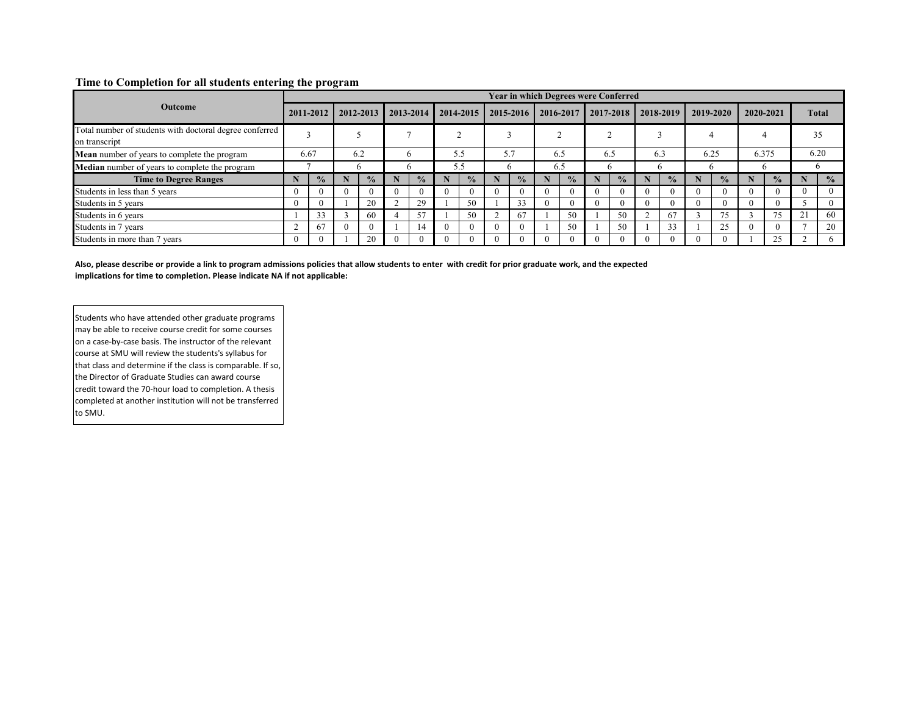#### **Time to Completion for all students entering the program**

|                                                                          |      |               |  |               |   |               |          |               |          |               |          | <b>Year in which Degrees were Conferred</b> |     |               |  |               |                |               |           |               |               |  |           |  |              |
|--------------------------------------------------------------------------|------|---------------|--|---------------|---|---------------|----------|---------------|----------|---------------|----------|---------------------------------------------|-----|---------------|--|---------------|----------------|---------------|-----------|---------------|---------------|--|-----------|--|--------------|
| <b>Outcome</b>                                                           |      | 2011-2012     |  |               |   |               |          | 2012-2013     |          | 2013-2014     |          | 2014-2015                                   |     | 2015-2016     |  | 2016-2017     | $12017 - 2018$ |               | 2018-2019 |               | 2019-2020     |  | 2020-2021 |  | <b>Total</b> |
| Total number of students with doctoral degree conferred<br>on transcript |      |               |  |               |   |               |          |               |          |               |          |                                             |     |               |  |               |                |               |           |               | 35            |  |           |  |              |
| <b>Mean</b> number of years to complete the program                      | 6.67 |               |  | 6.2           |   | <sub>6</sub>  |          | 5.5           |          | 5.7           |          | 6.5                                         | 6.5 |               |  | 6.3           | 6.25           |               |           | 6.375         | 6.20          |  |           |  |              |
| Median number of years to complete the program                           |      |               |  |               |   | 'n            |          | 5.5           |          |               |          | 6.5                                         |     |               |  |               |                |               |           |               |               |  |           |  |              |
| <b>Time to Degree Ranges</b>                                             |      | $\frac{0}{2}$ |  | $\frac{0}{2}$ | N | $\frac{0}{2}$ |          | $\frac{0}{2}$ |          | $\frac{0}{0}$ |          | $\frac{0}{0}$                               |     | $\frac{0}{2}$ |  | $\frac{0}{2}$ |                | $\frac{0}{0}$ |           | $\frac{0}{2}$ | $\frac{0}{2}$ |  |           |  |              |
| Students in less than 5 years                                            |      | $\theta$      |  | $\Omega$      |   |               |          |               | $\theta$ |               | $\Omega$ |                                             |     | $\Omega$      |  | $\theta$      |                |               | $\Omega$  |               |               |  |           |  |              |
| Students in 5 years                                                      |      | $\Omega$      |  | 20            |   | 29            |          | 50            |          | 33            | 0        |                                             |     | $\Omega$      |  | $\Omega$      |                |               | 0         |               |               |  |           |  |              |
| Students in 6 years                                                      |      | 33            |  | 60            |   | 57            |          | 50            | $\sim$   | 67            |          | 50                                          |     | 50            |  | 67            |                | 75            |           | 75            | 60            |  |           |  |              |
| Students in 7 years                                                      |      | 67            |  | $\Omega$      |   | 14            | $\Omega$ |               | $\theta$ |               |          | 50                                          |     | 50            |  | 33            |                | 25            | 0         |               | 20            |  |           |  |              |
| Students in more than 7 years                                            |      | $\theta$      |  | 20            |   |               |          |               | $\Omega$ |               |          |                                             |     |               |  | $\theta$      |                |               |           |               |               |  |           |  |              |

**Also, please describe or provide a link to program admissions policies that allow students to enter with credit for prior graduate work, and the expected implications for time to completion. Please indicate NA if not applicable:**

Students who have attended other graduate programs may be able to receive course credit for some courses on a case-by-case basis. The instructor of the relevant course at SMU will review the students's syllabus for that class and determine if the class is comparable. If so, the Director of Graduate Studies can award course credit toward the 70-hour load to completion. A thesis completed at another institution will not be transferred to SMU.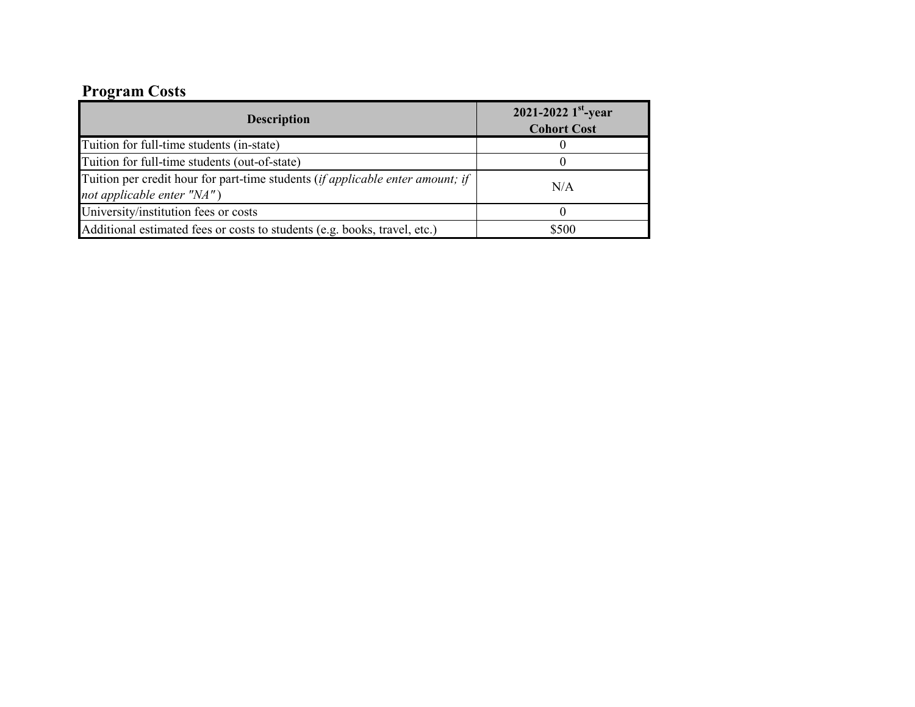## **Program Costs**

| <b>Description</b>                                                                                           | 2021-2022 $1^{\rm st}$ -year<br><b>Cohort Cost</b> |
|--------------------------------------------------------------------------------------------------------------|----------------------------------------------------|
| Tuition for full-time students (in-state)                                                                    |                                                    |
| Tuition for full-time students (out-of-state)                                                                |                                                    |
| Tuition per credit hour for part-time students (if applicable enter amount; if<br>not applicable enter "NA") | N/A                                                |
| University/institution fees or costs                                                                         |                                                    |
| Additional estimated fees or costs to students (e.g. books, travel, etc.)                                    | \$500                                              |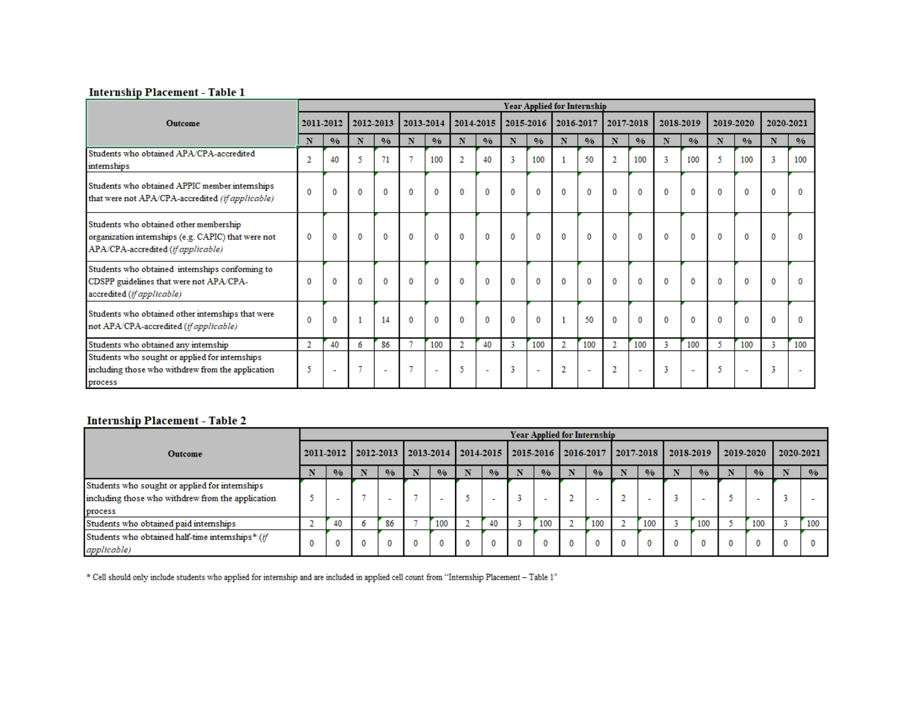#### **Internship Placement - Table 1**

|                                                                                                                                     |                |               |              |              |          |               |                |                          |   |                | <b>Year Applied for Internship</b> |                          |                |                          |           |               |           |                          |           |               |
|-------------------------------------------------------------------------------------------------------------------------------------|----------------|---------------|--------------|--------------|----------|---------------|----------------|--------------------------|---|----------------|------------------------------------|--------------------------|----------------|--------------------------|-----------|---------------|-----------|--------------------------|-----------|---------------|
| <b>Outcome</b>                                                                                                                      |                | 2011-2012     |              | 2012-2013    |          | 2013-2014     |                | 2014-2015                |   | 2015-2016      |                                    | 2016-2017                | 2017-2018      |                          | 2018-2019 |               | 2019-2020 |                          | 2020-2021 |               |
|                                                                                                                                     | N              | $\frac{0}{6}$ | N            | 0/6          | N        | $\frac{0}{6}$ | N              | $\frac{0}{6}$            | N | $\frac{0}{6}$  | N                                  | $\frac{0}{0}$            | N              | 0/6                      | N         | $\frac{0}{6}$ | N         | $\frac{0}{6}$            | N         | $\frac{0}{6}$ |
| Students who obtained APA/CPA-accredited<br>internships                                                                             | $\overline{2}$ | 40            | 5            | 71           |          | 100           |                | 40                       | 3 | 100            |                                    | 50                       | $\overline{2}$ | 100                      | 3         | 100           |           | 100                      | 3         | 100           |
| Students who obtained APPIC member internships<br>that were not APA/CPA-accredited (if applicable)                                  | $\mathbf{0}$   | $\bf{0}$      | $\mathbf{0}$ | 0            | $\bf{0}$ | 0             | 0              | $\bf{0}$                 | 0 | $\bf{0}$       | 0                                  | $\mathbf{0}$             | $\bf{0}$       | 0                        | $\bf{0}$  | $\mathbf 0$   | 0         | $\mathbf 0$              | 0         | $\bf{0}$      |
| Students who obtained other membership<br>organization internships (e.g. CAPIC) that were not<br>APA/CPA-accredited (if applicable) | $\bf{0}$       | 0             | $\bf{0}$     | $\bf{0}$     | $\bf{0}$ | $\bf{0}$      | $\bf{0}$       | $\bf{0}$                 | 0 | $\bf{0}$       | $\bf{0}$                           | $\bf{0}$                 | $\bf{0}$       | $\bf{0}$                 | $\bf{0}$  | $\bf{0}$      | $\bf{0}$  | $\bf{0}$                 | 0         |               |
| Students who obtained internships conforming to<br>CDSPP guidelines that were not APA/CPA-<br>accredited (if applicable)            | 0              | $\Omega$      | $\bf{0}$     | $\mathbf{0}$ | $\bf{0}$ | $\mathbf{0}$  | $\mathbf{0}$   | $\mathbf{0}$             | 0 | $\mathbf{0}$   | $\bf{0}$                           | $\mathbf{0}$             | $\bf{0}$       | $\bf{0}$                 | $\bf{0}$  | $\mathbf{0}$  | $\bf{0}$  | $\bf{0}$                 | $\bf{0}$  | $\mathbf{0}$  |
| Students who obtained other internships that were<br>not APA/CPA-accredited (if applicable)                                         | 0              | $\Omega$      | 1            | 14           | $\bf{0}$ | $\bf{0}$      | $\Omega$       | $\bf{0}$                 | 0 | $\mathbf{0}$   |                                    | 50                       | $\mathbf{0}$   | $\bf{0}$                 | $\bf{0}$  | $\mathbf{0}$  | $\bf{0}$  | $\bf{0}$                 | $\bf{0}$  | $\mathbf{0}$  |
| Students who obtained any internship                                                                                                | $\overline{2}$ | 40            | 6            | 86           | 7        | 100           | $\overline{2}$ | 40                       | 3 | 100            | $\overline{2}$                     | 100                      | 2              | 100                      | 3         | 100           | 5         | 100                      | 3         | 100           |
| Students who sought or applied for internships<br>including those who withdrew from the application<br>process                      | 5              | ٠             | 7            | $\sim$       |          | ٠             | 5              | $\overline{\phantom{a}}$ | 3 | $\overline{a}$ | 2                                  | $\overline{\phantom{a}}$ | 2              | $\overline{\phantom{a}}$ | 3         | ÷             | -5        | $\overline{\phantom{a}}$ | 3         |               |

#### **Internship Placement - Table 2**

|                                                   |   |                          |  |                                                                       |   |               |  |               |  |               | Year Applied for Internship |                          |  |               |           |                          |           |               |           |               |
|---------------------------------------------------|---|--------------------------|--|-----------------------------------------------------------------------|---|---------------|--|---------------|--|---------------|-----------------------------|--------------------------|--|---------------|-----------|--------------------------|-----------|---------------|-----------|---------------|
| <b>Outcome</b>                                    |   |                          |  | 2011-2012   2012-2013   2013-2014   2014-2015   2015-2016   2016-2017 |   |               |  |               |  |               |                             |                          |  | 12017.2018    | 2018-2019 |                          | 2019-2020 |               | 2020-2021 |               |
|                                                   |   | $\frac{0}{0}$            |  | $\frac{0}{0}$                                                         |   | $\frac{0}{0}$ |  | $\frac{0}{0}$ |  | $\frac{0}{0}$ |                             | $\frac{0}{6}$            |  | $\frac{0}{6}$ |           | $\frac{0}{0}$            |           | $\frac{0}{6}$ |           | $\frac{0}{0}$ |
| Students who sought or applied for internships    |   |                          |  |                                                                       |   |               |  |               |  |               |                             |                          |  |               |           |                          |           |               |           |               |
| including those who withdrew from the application |   | $\overline{\phantom{a}}$ |  |                                                                       |   |               |  |               |  |               |                             | $\overline{\phantom{a}}$ |  |               |           | $\overline{\phantom{a}}$ |           |               |           |               |
| process                                           |   |                          |  |                                                                       |   |               |  |               |  |               |                             |                          |  |               |           |                          |           |               |           |               |
| Students who obtained paid internships            |   | 40                       |  | 86                                                                    |   | 100           |  | 40            |  | 100           |                             | 100                      |  | 100           |           | 100                      |           | 100           |           | 100           |
| Students who obtained half-time internships* (if  | 0 |                          |  |                                                                       | 0 | 0             |  |               |  | 0             | 0                           |                          |  |               |           |                          |           |               |           |               |
| applicable)                                       |   |                          |  |                                                                       |   |               |  |               |  |               |                             |                          |  |               |           |                          |           |               |           |               |

\* Cell should only include students who applied for internship and are included in applied cell count from "Internship Placement - Table 1"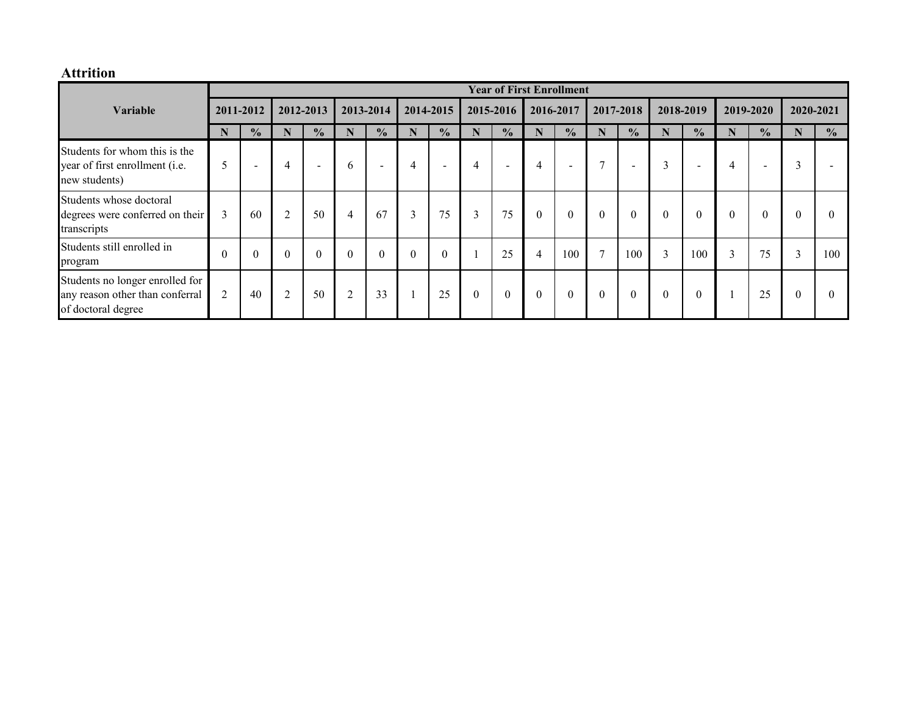### **Attrition**

|                                                                                          |                |                          |                |                |                |                  |           |                          |                |                          |                | <b>Year of First Enrollment</b> |                |                  |           |                  |          |                          |                          |               |
|------------------------------------------------------------------------------------------|----------------|--------------------------|----------------|----------------|----------------|------------------|-----------|--------------------------|----------------|--------------------------|----------------|---------------------------------|----------------|------------------|-----------|------------------|----------|--------------------------|--------------------------|---------------|
| Variable                                                                                 |                | 2012-2013<br>2011-2012   |                |                | 2013-2014      |                  | 2014-2015 |                          | 2015-2016      |                          | 2016-2017      |                                 | 2017-2018      |                  | 2018-2019 | 2019-2020        |          | 2020-2021                |                          |               |
|                                                                                          | N              | $\frac{0}{0}$            | N              | $\frac{0}{0}$  | N              | $\frac{0}{0}$    | N         | $\frac{0}{0}$            | N              | $\frac{0}{0}$            | N              | $\frac{0}{0}$                   | N              | $\frac{0}{0}$    | N         | $\frac{0}{0}$    | N        | $\frac{0}{0}$            |                          | $\frac{0}{0}$ |
| Students for whom this is the<br>year of first enrollment (i.e.<br>new students)         | 5              | $\overline{\phantom{a}}$ | 4              | $\blacksquare$ | 6              | $\sim$           | 4         | $\overline{\phantom{0}}$ | $\overline{4}$ | $\overline{\phantom{a}}$ | 4              | $\sim$                          | $\mathcal{I}$  | $\,$             | 3         | $\sim$           | 4        | $\overline{\phantom{0}}$ | $\bigcap$<br>$\Delta$    |               |
| Students whose doctoral<br>degrees were conferred on their<br>transcripts                | 3              | 60                       | $\overline{2}$ | 50             | $\overline{4}$ | 67               | 3         | 75                       | 3              | 75                       | $\theta$       | $\boldsymbol{0}$                | $\theta$       | $\boldsymbol{0}$ | $\theta$  | $\boldsymbol{0}$ | $\theta$ | $\mathbf{0}$             |                          | $\theta$      |
| Students still enrolled in<br>program                                                    | $\Omega$       | $\theta$                 | $\theta$       | $\theta$       | $\theta$       | $\boldsymbol{0}$ | $\theta$  | $\boldsymbol{0}$         |                | 25                       | $\overline{4}$ | 100                             | $\overline{7}$ | 100              | 3         | 100              | 3        | 75                       | $\sim$<br>$\mathfrak{I}$ | 100           |
| Students no longer enrolled for<br>any reason other than conferral<br>of doctoral degree | $\overline{2}$ | 40                       | $\overline{2}$ | 50             | $\overline{2}$ | 33               |           | 25                       | $\theta$       | $\theta$                 | $\Omega$       | $\theta$                        | $\theta$       | $\mathbf{0}$     | $\Omega$  | $\mathbf{0}$     |          | 25                       | $\theta$                 | $\theta$      |